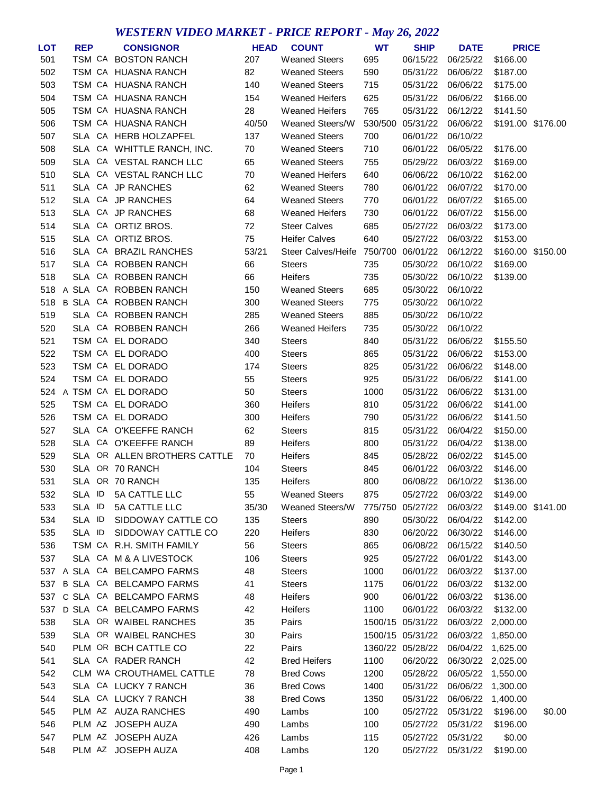## *WESTERN VIDEO MARKET - PRICE REPORT - May 26, 2022*

| LOT | <b>REP</b> | <b>CONSIGNOR</b>             | <b>HEAD</b> | <b>COUNT</b>              | <b>WT</b> | <b>SHIP</b>      | <b>DATE</b>       | <b>PRICE</b> |                   |
|-----|------------|------------------------------|-------------|---------------------------|-----------|------------------|-------------------|--------------|-------------------|
| 501 | TSM CA     | <b>BOSTON RANCH</b>          | 207         | <b>Weaned Steers</b>      | 695       | 06/15/22         | 06/25/22          | \$166.00     |                   |
| 502 |            | TSM CA HUASNA RANCH          | 82          | <b>Weaned Steers</b>      | 590       | 05/31/22         | 06/06/22          | \$187.00     |                   |
| 503 |            | TSM CA HUASNA RANCH          | 140         | <b>Weaned Steers</b>      | 715       | 05/31/22         | 06/06/22          | \$175.00     |                   |
| 504 |            | TSM CA HUASNA RANCH          | 154         | <b>Weaned Heifers</b>     | 625       | 05/31/22         | 06/06/22          | \$166.00     |                   |
| 505 |            | TSM CA HUASNA RANCH          | 28          | <b>Weaned Heifers</b>     | 765       | 05/31/22         | 06/12/22          | \$141.50     |                   |
| 506 |            | TSM CA HUASNA RANCH          | 40/50       | Weaned Steers/W           | 530/500   | 05/31/22         | 06/06/22          |              | \$191.00 \$176.00 |
| 507 | SLA        | CA HERB HOLZAPFEL            | 137         | <b>Weaned Steers</b>      | 700       | 06/01/22         | 06/10/22          |              |                   |
| 508 | SLA        | CA WHITTLE RANCH, INC.       | 70          | <b>Weaned Steers</b>      | 710       | 06/01/22         | 06/05/22          | \$176.00     |                   |
| 509 | SLA        | CA VESTAL RANCH LLC          | 65          | <b>Weaned Steers</b>      | 755       | 05/29/22         | 06/03/22          | \$169.00     |                   |
| 510 | SLA        | CA VESTAL RANCH LLC          | 70          | <b>Weaned Heifers</b>     | 640       | 06/06/22         | 06/10/22          | \$162.00     |                   |
| 511 | SLA        | CA JP RANCHES                | 62          | <b>Weaned Steers</b>      | 780       | 06/01/22         | 06/07/22          | \$170.00     |                   |
| 512 | SLA        | CA JP RANCHES                | 64          | <b>Weaned Steers</b>      | 770       | 06/01/22         | 06/07/22          | \$165.00     |                   |
| 513 | SLA        | CA JP RANCHES                | 68          | <b>Weaned Heifers</b>     | 730       | 06/01/22         | 06/07/22          | \$156.00     |                   |
| 514 | <b>SLA</b> | CA ORTIZ BROS.               | 72          | <b>Steer Calves</b>       | 685       | 05/27/22         | 06/03/22          | \$173.00     |                   |
| 515 | SLA        | CA ORTIZ BROS.               | 75          | <b>Heifer Calves</b>      | 640       | 05/27/22         | 06/03/22          | \$153.00     |                   |
| 516 | SLA        | CA BRAZIL RANCHES            | 53/21       | <b>Steer Calves/Heife</b> | 750/700   | 06/01/22         | 06/12/22          | \$160.00     | \$150.00          |
| 517 | SLA        | CA ROBBEN RANCH              | 66          | Steers                    | 735       | 05/30/22         | 06/10/22          | \$169.00     |                   |
| 518 | SLA        | CA ROBBEN RANCH              | 66          | Heifers                   | 735       | 05/30/22         | 06/10/22          | \$139.00     |                   |
| 518 | A SLA      | CA ROBBEN RANCH              | 150         | <b>Weaned Steers</b>      | 685       | 05/30/22         | 06/10/22          |              |                   |
| 518 | B SLA      | CA ROBBEN RANCH              | 300         | <b>Weaned Steers</b>      | 775       | 05/30/22         | 06/10/22          |              |                   |
| 519 | SLA        | CA ROBBEN RANCH              | 285         | <b>Weaned Steers</b>      | 885       | 05/30/22         | 06/10/22          |              |                   |
| 520 | SLA        | CA ROBBEN RANCH              | 266         | <b>Weaned Heifers</b>     | 735       | 05/30/22         | 06/10/22          |              |                   |
| 521 |            | TSM CA EL DORADO             | 340         | <b>Steers</b>             | 840       | 05/31/22         | 06/06/22          | \$155.50     |                   |
| 522 |            | TSM CA EL DORADO             | 400         | <b>Steers</b>             | 865       | 05/31/22         | 06/06/22          | \$153.00     |                   |
| 523 |            | TSM CA EL DORADO             | 174         | <b>Steers</b>             | 825       | 05/31/22         | 06/06/22          | \$148.00     |                   |
| 524 |            | TSM CA EL DORADO             | 55          | <b>Steers</b>             | 925       | 05/31/22         | 06/06/22          | \$141.00     |                   |
| 524 |            | A TSM CA EL DORADO           | 50          | <b>Steers</b>             | 1000      | 05/31/22         | 06/06/22          | \$131.00     |                   |
| 525 |            | TSM CA EL DORADO             | 360         | Heifers                   | 810       | 05/31/22         | 06/06/22          | \$141.00     |                   |
| 526 |            | TSM CA EL DORADO             | 300         | Heifers                   | 790       | 05/31/22         | 06/06/22          | \$141.50     |                   |
| 527 | SLA        | CA O'KEEFFE RANCH            | 62          | <b>Steers</b>             | 815       | 05/31/22         | 06/04/22          | \$150.00     |                   |
| 528 | SLA        | CA O'KEEFFE RANCH            | 89          | Heifers                   | 800       | 05/31/22         | 06/04/22          | \$138.00     |                   |
| 529 |            | SLA OR ALLEN BROTHERS CATTLE | 70          | Heifers                   | 845       | 05/28/22         | 06/02/22          | \$145.00     |                   |
| 530 | SLA        | OR 70 RANCH                  | 104         | <b>Steers</b>             | 845       | 06/01/22         | 06/03/22          | \$146.00     |                   |
| 531 |            | SLA OR 70 RANCH              | 135         | <b>Heifers</b>            | 800       | 06/08/22         | 06/10/22          | \$136.00     |                   |
| 532 | SLA ID     | 5A CATTLE LLC                | 55          | <b>Weaned Steers</b>      | 875       | 05/27/22         | 06/03/22          | \$149.00     |                   |
| 533 | SLA ID     | 5A CATTLE LLC                | 35/30       | Weaned Steers/W           | 775/750   | 05/27/22         | 06/03/22          |              | \$149.00 \$141.00 |
| 534 | SLA ID     | SIDDOWAY CATTLE CO           | 135         | <b>Steers</b>             | 890       | 05/30/22         | 06/04/22          | \$142.00     |                   |
| 535 | SLA ID     | SIDDOWAY CATTLE CO           | 220         | Heifers                   | 830       | 06/20/22         | 06/30/22          | \$146.00     |                   |
| 536 |            | TSM CA R.H. SMITH FAMILY     | 56          | <b>Steers</b>             | 865       | 06/08/22         | 06/15/22          | \$140.50     |                   |
| 537 |            | SLA CA M & A LIVESTOCK       | 106         | <b>Steers</b>             | 925       | 05/27/22         | 06/01/22          | \$143.00     |                   |
|     |            | 537 A SLA CA BELCAMPO FARMS  | 48          | <b>Steers</b>             | 1000      | 06/01/22         | 06/03/22          | \$137.00     |                   |
| 537 |            | B SLA CA BELCAMPO FARMS      | 41          | <b>Steers</b>             | 1175      | 06/01/22         | 06/03/22          | \$132.00     |                   |
| 537 |            | C SLA CA BELCAMPO FARMS      | 48          | Heifers                   | 900       | 06/01/22         | 06/03/22          | \$136.00     |                   |
|     |            | 537 D SLA CA BELCAMPO FARMS  | 42          | Heifers                   | 1100      | 06/01/22         | 06/03/22          | \$132.00     |                   |
|     |            |                              |             |                           |           |                  |                   |              |                   |
| 538 |            | SLA OR WAIBEL RANCHES        | 35          | Pairs                     |           | 1500/15 05/31/22 | 06/03/22 2,000.00 |              |                   |
| 539 |            | SLA OR WAIBEL RANCHES        | 30          | Pairs                     |           | 1500/15 05/31/22 | 06/03/22          | 1,850.00     |                   |
| 540 |            | PLM OR BCH CATTLE CO         | 22          | Pairs                     |           | 1360/22 05/28/22 | 06/04/22          | 1,625.00     |                   |
| 541 |            | SLA CA RADER RANCH           | 42          | <b>Bred Heifers</b>       | 1100      | 06/20/22         | 06/30/22 2,025.00 |              |                   |
| 542 |            | CLM WA CROUTHAMEL CATTLE     | 78          | <b>Bred Cows</b>          | 1200      | 05/28/22         | 06/05/22          | 1,550.00     |                   |
| 543 |            | SLA CA LUCKY 7 RANCH         | 36          | <b>Bred Cows</b>          | 1400      | 05/31/22         | 06/06/22          | 1,300.00     |                   |
| 544 |            | SLA CA LUCKY 7 RANCH         | 38          | <b>Bred Cows</b>          | 1350      | 05/31/22         | 06/06/22          | 1,400.00     |                   |
| 545 |            | PLM AZ AUZA RANCHES          | 490         | Lambs                     | 100       | 05/27/22         | 05/31/22          | \$196.00     | \$0.00            |
| 546 |            | PLM AZ JOSEPH AUZA           | 490         | Lambs                     | 100       | 05/27/22         | 05/31/22          | \$196.00     |                   |
| 547 |            | PLM AZ JOSEPH AUZA           | 426         | Lambs                     | 115       | 05/27/22         | 05/31/22          | \$0.00       |                   |
| 548 |            | PLM AZ JOSEPH AUZA           | 408         | Lambs                     | 120       | 05/27/22         | 05/31/22          | \$190.00     |                   |